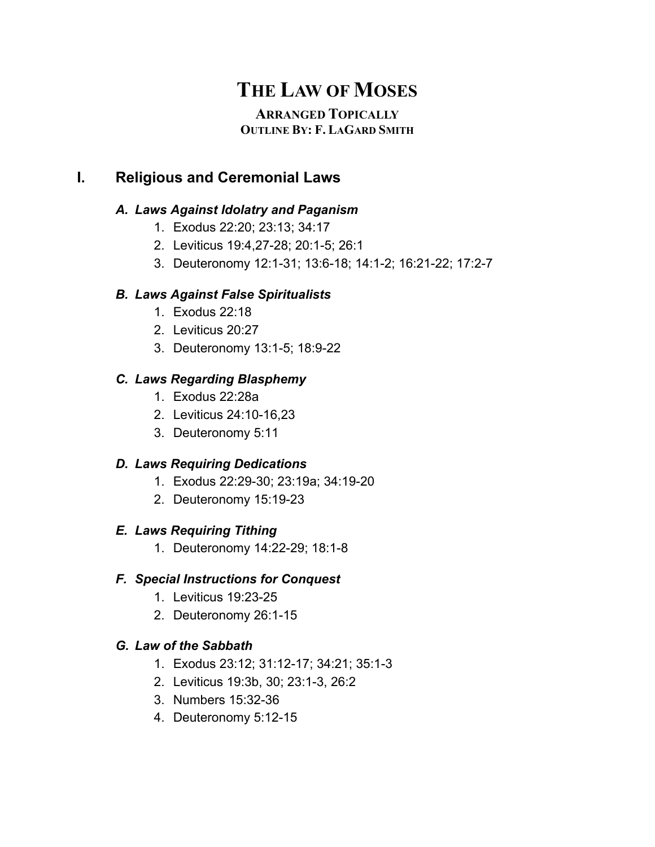# **THE LAW OF MOSES**

# **ARRANGED TOPICALLY OUTLINE BY: F. LAGARD SMITH**

# **I. Religious and Ceremonial Laws**

# *A. Laws Against Idolatry and Paganism*

- 1. Exodus 22:20; 23:13; 34:17
- 2. Leviticus 19:4,27-28; 20:1-5; 26:1
- 3. Deuteronomy 12:1-31; 13:6-18; 14:1-2; 16:21-22; 17:2-7

# *B. Laws Against False Spiritualists*

- 1. Exodus 22:18
- 2. Leviticus 20:27
- 3. Deuteronomy 13:1-5; 18:9-22

# *C. Laws Regarding Blasphemy*

- 1. Exodus 22:28a
- 2. Leviticus 24:10-16,23
- 3. Deuteronomy 5:11

# *D. Laws Requiring Dedications*

- 1. Exodus 22:29-30; 23:19a; 34:19-20
- 2. Deuteronomy 15:19-23

# *E. Laws Requiring Tithing*

1. Deuteronomy 14:22-29; 18:1-8

# *F. Special Instructions for Conquest*

- 1. Leviticus 19:23-25
- 2. Deuteronomy 26:1-15

# *G. Law of the Sabbath*

- 1. Exodus 23:12; 31:12-17; 34:21; 35:1-3
- 2. Leviticus 19:3b, 30; 23:1-3, 26:2
- 3. Numbers 15:32-36
- 4. Deuteronomy 5:12-15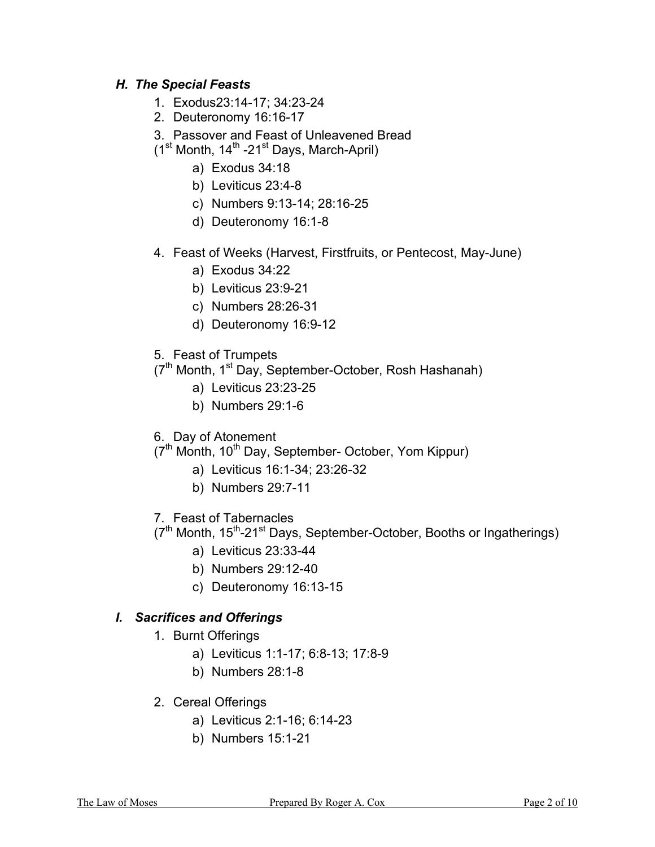## *H. The Special Feasts*

- 1. Exodus23:14-17; 34:23-24
- 2. Deuteronomy 16:16-17
- 3. Passover and Feast of Unleavened Bread
- $(1<sup>st</sup>$  Month,  $14<sup>th</sup>$  -21<sup>st</sup> Days, March-April)
	- a) Exodus 34:18
	- b) Leviticus 23:4-8
	- c) Numbers 9:13-14; 28:16-25
	- d) Deuteronomy 16:1-8
- 4. Feast of Weeks (Harvest, Firstfruits, or Pentecost, May-June)
	- a) Exodus 34:22
	- b) Leviticus 23:9-21
	- c) Numbers 28:26-31
	- d) Deuteronomy 16:9-12
- 5. Feast of Trumpets
- (7<sup>th</sup> Month, 1<sup>st</sup> Day, September-October, Rosh Hashanah)
	- a) Leviticus 23:23-25
	- b) Numbers 29:1-6
- 6. Day of Atonement
- $(7<sup>th</sup>$  Month, 10<sup>th</sup> Day, September- October, Yom Kippur)
	- a) Leviticus 16:1-34; 23:26-32
	- b) Numbers 29:7-11
- 7. Feast of Tabernacles
- (7<sup>th</sup> Month, 15<sup>th</sup>-21<sup>st</sup> Days, September-October, Booths or Ingatherings)
	- a) Leviticus 23:33-44
	- b) Numbers 29:12-40
	- c) Deuteronomy 16:13-15

#### *I. Sacrifices and Offerings*

- 1. Burnt Offerings
	- a) Leviticus 1:1-17; 6:8-13; 17:8-9
	- b) Numbers 28:1-8
- 2. Cereal Offerings
	- a) Leviticus 2:1-16; 6:14-23
	- b) Numbers 15:1-21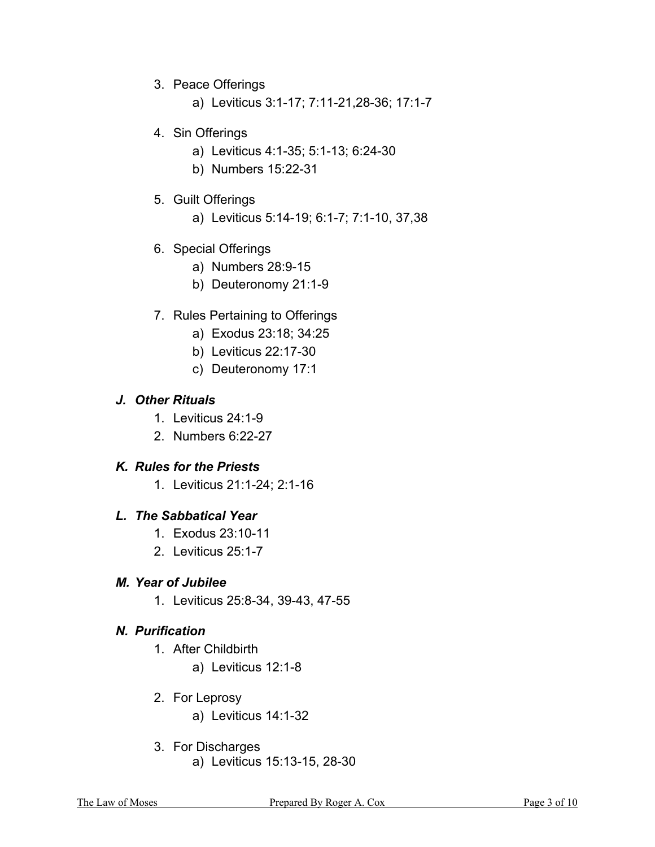- 3. Peace Offerings
	- a) Leviticus 3:1-17; 7:11-21,28-36; 17:1-7
- 4. Sin Offerings
	- a) Leviticus 4:1-35; 5:1-13; 6:24-30
	- b) Numbers 15:22-31
- 5. Guilt Offerings
	- a) Leviticus 5:14-19; 6:1-7; 7:1-10, 37,38
- 6. Special Offerings
	- a) Numbers 28:9-15
	- b) Deuteronomy 21:1-9
- 7. Rules Pertaining to Offerings
	- a) Exodus 23:18; 34:25
	- b) Leviticus 22:17-30
	- c) Deuteronomy 17:1

## *J. Other Rituals*

- 1. Leviticus 24:1-9
- 2. Numbers 6:22-27

#### *K. Rules for the Priests*

1. Leviticus 21:1-24; 2:1-16

#### *L. The Sabbatical Year*

- 1. Exodus 23:10-11
- 2. Leviticus 25:1-7

#### *M. Year of Jubilee*

1. Leviticus 25:8-34, 39-43, 47-55

# *N. Purification*

- 1. After Childbirth
	- a) Leviticus 12:1-8
- 2. For Leprosy
	- a) Leviticus 14:1-32
- 3. For Discharges a) Leviticus 15:13-15, 28-30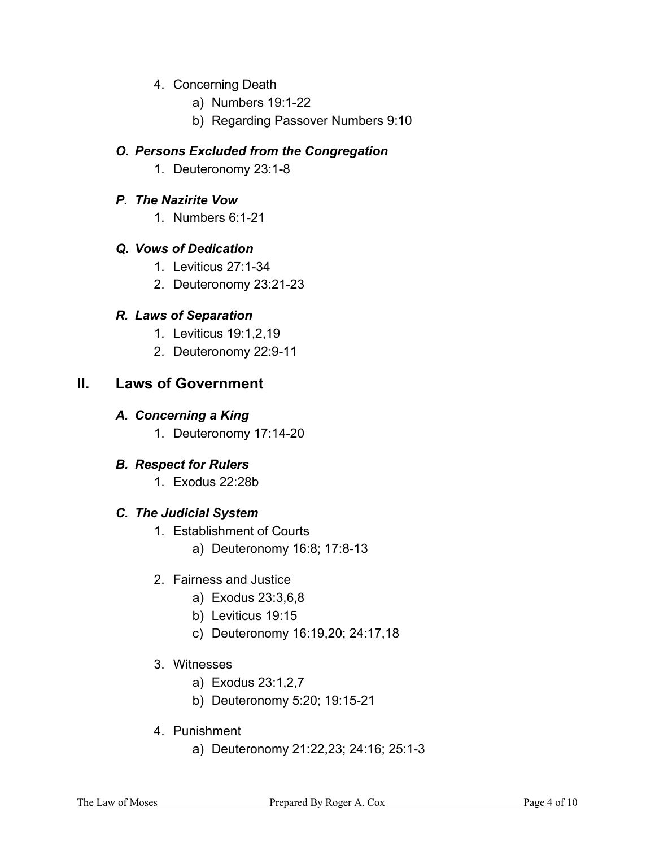- 4. Concerning Death
	- a) Numbers 19:1-22
	- b) Regarding Passover Numbers 9:10

#### *O. Persons Excluded from the Congregation*

1. Deuteronomy 23:1-8

## *P. The Nazirite Vow*

1. Numbers 6:1-21

## *Q. Vows of Dedication*

- 1. Leviticus 27:1-34
- 2. Deuteronomy 23:21-23

# *R. Laws of Separation*

- 1. Leviticus 19:1,2,19
- 2. Deuteronomy 22:9-11

# **II. Laws of Government**

## *A. Concerning a King*

1. Deuteronomy 17:14-20

# *B. Respect for Rulers*

1. Exodus 22:28b

# *C. The Judicial System*

- 1. Establishment of Courts
	- a) Deuteronomy 16:8; 17:8-13
- 2. Fairness and Justice
	- a) Exodus 23:3,6,8
	- b) Leviticus 19:15
	- c) Deuteronomy 16:19,20; 24:17,18

## 3. Witnesses

- a) Exodus 23:1,2,7
- b) Deuteronomy 5:20; 19:15-21
- 4. Punishment
	- a) Deuteronomy 21:22,23; 24:16; 25:1-3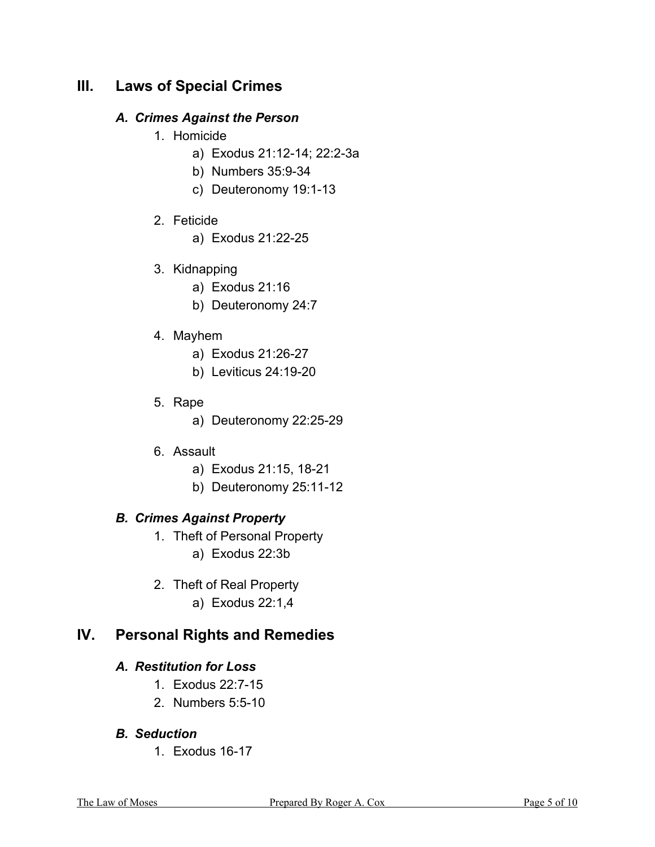# **III. Laws of Special Crimes**

## *A. Crimes Against the Person*

- 1. Homicide
	- a) Exodus 21:12-14; 22:2-3a
	- b) Numbers 35:9-34
	- c) Deuteronomy 19:1-13
- 2. Feticide
	- a) Exodus 21:22-25
- 3. Kidnapping
	- a) Exodus 21:16
	- b) Deuteronomy 24:7
- 4. Mayhem
	- a) Exodus 21:26-27
	- b) Leviticus 24:19-20
- 5. Rape
	- a) Deuteronomy 22:25-29
- 6. Assault
	- a) Exodus 21:15, 18-21
	- b) Deuteronomy 25:11-12

# *B. Crimes Against Property*

- 1. Theft of Personal Property a) Exodus 22:3b
- 2. Theft of Real Property a) Exodus 22:1,4

# **IV. Personal Rights and Remedies**

# *A. Restitution for Loss*

- 1. Exodus 22:7-15
- 2. Numbers 5:5-10
- *B. Seduction* 
	- 1. Exodus 16-17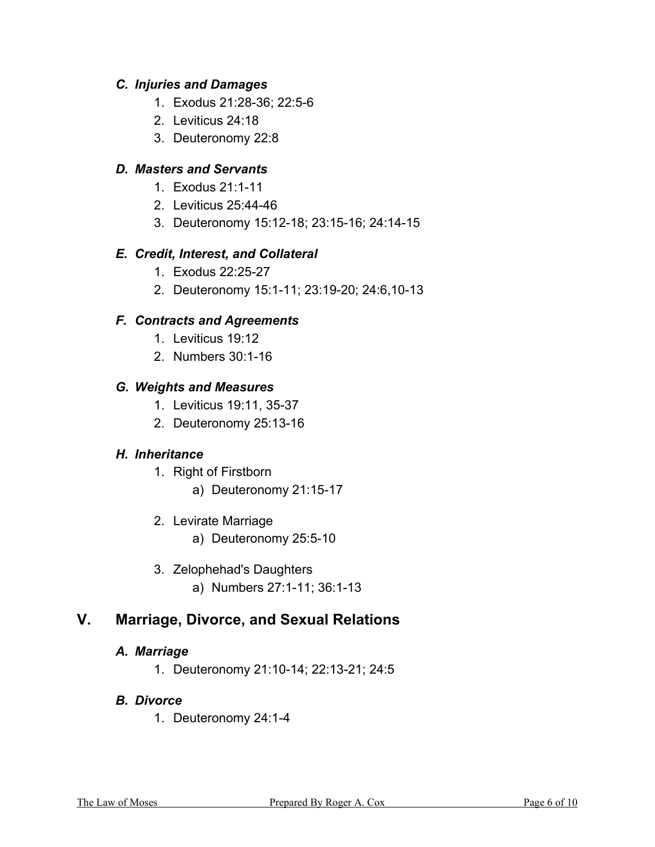## *C. Injuries and Damages*

- 1. Exodus 21:28-36; 22:5-6
- 2. Leviticus 24:18
- 3. Deuteronomy 22:8

## *D. Masters and Servants*

- 1. Exodus 21:1-11
- 2. Leviticus 25:44-46
- 3. Deuteronomy 15:12-18; 23:15-16; 24:14-15

## *E. Credit, Interest, and Collateral*

- 1. Exodus 22:25-27
- 2. Deuteronomy 15:1-11; 23:19-20; 24:6,10-13

## *F. Contracts and Agreements*

- 1. Leviticus 19:12
- 2. Numbers 30:1-16

## *G. Weights and Measures*

- 1. Leviticus 19:11, 35-37
- 2. Deuteronomy 25:13-16

# *H. Inheritance*

- 1. Right of Firstborn
	- a) Deuteronomy 21:15-17
- 2. Levirate Marriage
	- a) Deuteronomy 25:5-10
- 3. Zelophehad's Daughters a) Numbers 27:1-11; 36:1-13

# **V. Marriage, Divorce, and Sexual Relations**

#### *A. Marriage*

1. Deuteronomy 21:10-14; 22:13-21; 24:5

# *B. Divorce*

1. Deuteronomy 24:1-4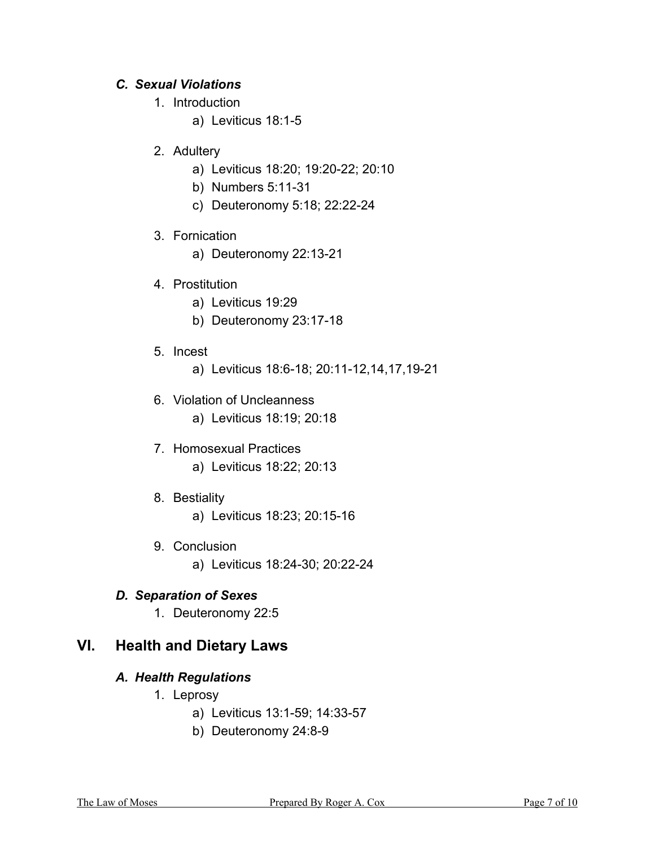# *C. Sexual Violations*

- 1. Introduction
	- a) Leviticus 18:1-5
- 2. Adultery
	- a) Leviticus 18:20; 19:20-22; 20:10
	- b) Numbers 5:11-31
	- c) Deuteronomy 5:18; 22:22-24
- 3. Fornication
	- a) Deuteronomy 22:13-21
- 4. Prostitution
	- a) Leviticus 19:29
	- b) Deuteronomy 23:17-18
- 5. Incest
	- a) Leviticus 18:6-18; 20:11-12,14,17,19-21
- 6. Violation of Uncleanness a) Leviticus 18:19; 20:18
- 7. Homosexual Practices a) Leviticus 18:22; 20:13
- 8. Bestiality
	- a) Leviticus 18:23; 20:15-16
- 9. Conclusion a) Leviticus 18:24-30; 20:22-24

# *D. Separation of Sexes*

1. Deuteronomy 22:5

# **VI. Health and Dietary Laws**

# *A. Health Regulations*

- 1. Leprosy
	- a) Leviticus 13:1-59; 14:33-57
	- b) Deuteronomy 24:8-9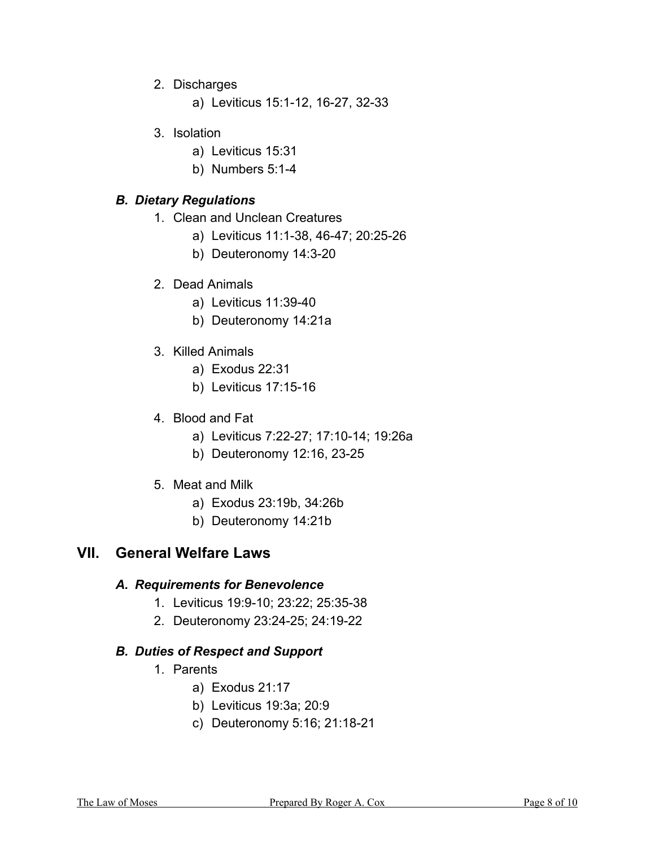- 2. Discharges
	- a) Leviticus 15:1-12, 16-27, 32-33
- 3. Isolation
	- a) Leviticus 15:31
	- b) Numbers 5:1-4

#### *B. Dietary Regulations*

- 1. Clean and Unclean Creatures
	- a) Leviticus 11:1-38, 46-47; 20:25-26
	- b) Deuteronomy 14:3-20
- 2. Dead Animals
	- a) Leviticus 11:39-40
	- b) Deuteronomy 14:21a
- 3. Killed Animals
	- a) Exodus 22:31
	- b) Leviticus 17:15-16
- 4. Blood and Fat
	- a) Leviticus 7:22-27; 17:10-14; 19:26a
	- b) Deuteronomy 12:16, 23-25
- 5. Meat and Milk
	- a) Exodus 23:19b, 34:26b
	- b) Deuteronomy 14:21b

# **VII. General Welfare Laws**

## *A. Requirements for Benevolence*

- 1. Leviticus 19:9-10; 23:22; 25:35-38
- 2. Deuteronomy 23:24-25; 24:19-22

#### *B. Duties of Respect and Support*

- 1. Parents
	- a) Exodus 21:17
	- b) Leviticus 19:3a; 20:9
	- c) Deuteronomy 5:16; 21:18-21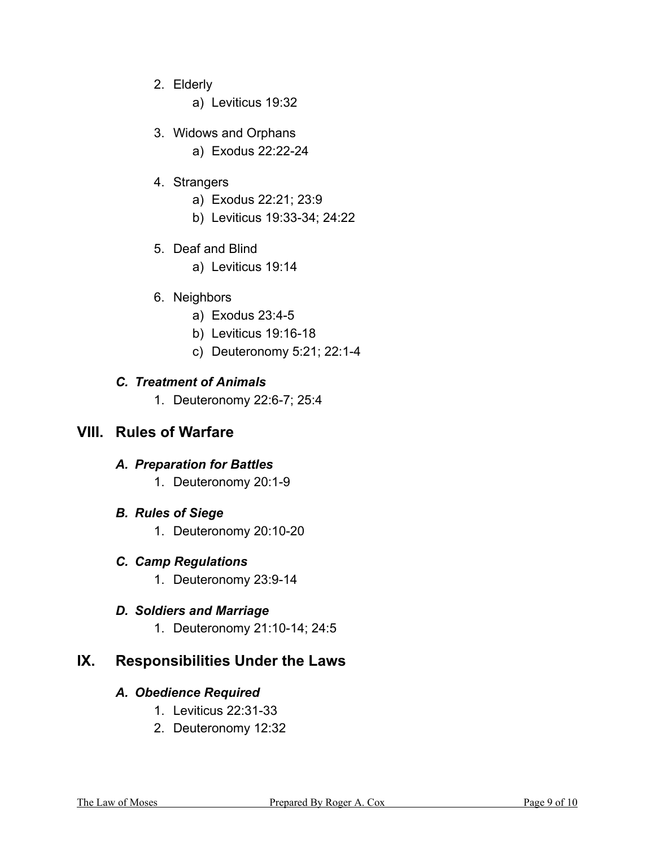2. Elderly

a) Leviticus 19:32

- 3. Widows and Orphans
	- a) Exodus 22:22-24
- 4. Strangers
	- a) Exodus 22:21; 23:9
	- b) Leviticus 19:33-34; 24:22
- 5. Deaf and Blind
	- a) Leviticus 19:14
- 6. Neighbors
	- a) Exodus 23:4-5
	- b) Leviticus 19:16-18
	- c) Deuteronomy 5:21; 22:1-4

## *C. Treatment of Animals*

1. Deuteronomy 22:6-7; 25:4

# **VIII. Rules of Warfare**

#### *A. Preparation for Battles*

- 1. Deuteronomy 20:1-9
- *B. Rules of Siege* 
	- 1. Deuteronomy 20:10-20

# *C. Camp Regulations*

1. Deuteronomy 23:9-14

# *D. Soldiers and Marriage*

1. Deuteronomy 21:10-14; 24:5

# **IX. Responsibilities Under the Laws**

#### *A. Obedience Required*

- 1. Leviticus 22:31-33
- 2. Deuteronomy 12:32